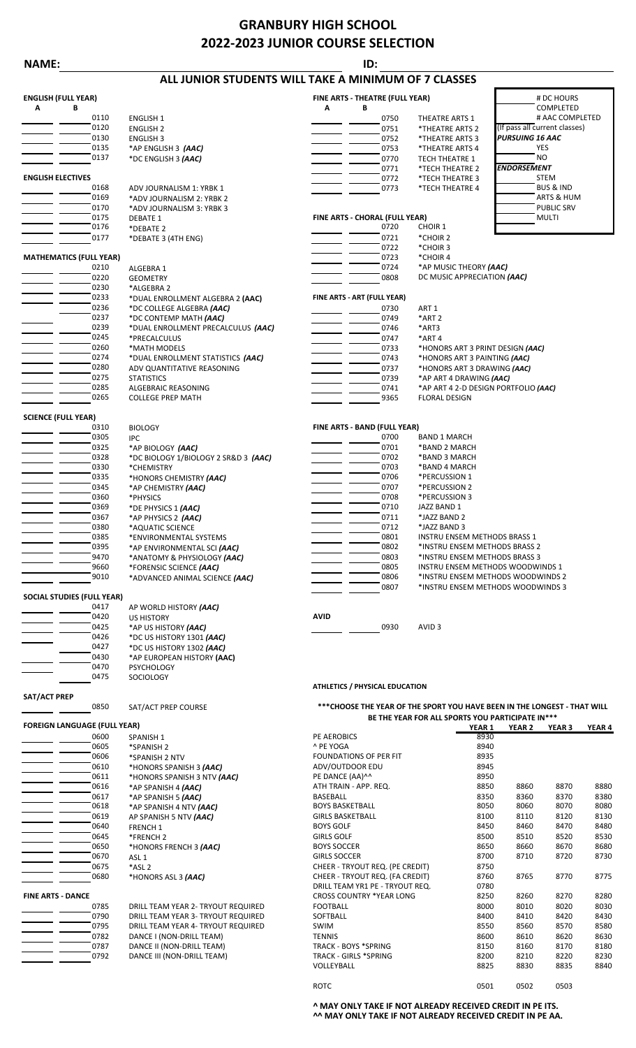## **GRANBURY HIGH SCHOOL 2022-2023 JUNIOR COURSE SELECTION**

### **NAME: ID:**

## **ALL JUNIOR STUDENTS WILL TAKE A MINIMUM OF 7 CLASSES**

| <b>ENGLISH (FULL YEAR)</b> |                                |                                    |   | FINE ARTS - THEATRE (FULL YEAR) | # DC HOURS                       |                               |
|----------------------------|--------------------------------|------------------------------------|---|---------------------------------|----------------------------------|-------------------------------|
| A                          | В                              |                                    | A | В                               |                                  | COMPLETED                     |
|                            | 0110                           | <b>ENGLISH 1</b>                   |   | 0750                            | <b>THEATRE ARTS 1</b>            | # AAC COMPLETED               |
|                            | 0120                           | <b>ENGLISH 2</b>                   |   | 0751                            | *THEATRE ARTS 2                  | (If pass all current classes) |
|                            | 0130                           | <b>ENGLISH 3</b>                   |   | 0752                            | *THEATRE ARTS 3                  | <b>PURSUING 16 AAC</b>        |
|                            | 0135                           | *AP ENGLISH 3 (AAC)                |   | 0753                            | *THEATRE ARTS 4                  | YES                           |
|                            | 0137                           | *DC ENGLISH 3 (AAC)                |   | 0770                            | <b>TECH THEATRE 1</b>            | <b>NO</b>                     |
|                            |                                |                                    |   | 0771                            | *TECH THEATRE 2                  | <b>ENDORSEMENT</b>            |
| <b>ENGLISH ELECTIVES</b>   |                                |                                    |   | 0772                            | *TECH THEATRE 3                  | <b>STEM</b>                   |
|                            | 0168                           | ADV JOURNALISM 1: YRBK 1           |   | 0773                            | *TECH THEATRE 4                  | <b>BUS &amp; IND</b>          |
|                            | 0169                           | *ADV JOURNALISM 2: YRBK 2          |   |                                 |                                  | ARTS & HUM                    |
|                            | 0170                           | *ADV JOURNALISM 3: YRBK 3          |   |                                 |                                  | <b>PUBLIC SRV</b>             |
|                            | 0175                           | <b>DEBATE 1</b>                    |   | FINE ARTS - CHORAL (FULL YEAR)  |                                  | <b>MULTI</b>                  |
|                            | 0176                           | *DEBATE 2                          |   | 0720                            | <b>CHOIR 1</b>                   |                               |
|                            | 0177                           | *DEBATE 3 (4TH ENG)                |   | 0721                            | *CHOIR 2                         |                               |
|                            |                                |                                    |   | 0722                            | *CHOIR 3                         |                               |
|                            | <b>MATHEMATICS (FULL YEAR)</b> |                                    |   | 0723                            | *CHOIR 4                         |                               |
|                            | 0210                           | ALGEBRA 1                          |   | 0724                            | *AP MUSIC THEORY (AAC)           |                               |
|                            | 0220                           | <b>GEOMETRY</b>                    |   | 0808                            | DC MUSIC APPRECIATION (AAC)      |                               |
|                            | 0230                           | *ALGEBRA 2                         |   |                                 |                                  |                               |
|                            | 0233                           | *DUAL ENROLLMENT ALGEBRA 2 (AAC)   |   | FINE ARTS - ART (FULL YEAR)     |                                  |                               |
|                            | 0236                           | *DC COLLEGE ALGEBRA (AAC)          |   | 0730                            | ART <sub>1</sub>                 |                               |
|                            | 0237                           | *DC CONTEMP MATH (AAC)             |   | 0749                            | *ART <sub>2</sub>                |                               |
|                            | 0239                           | *DUAL ENROLLMENT PRECALCULUS (AAC) |   | 0746                            | *ART3                            |                               |
|                            | 0245                           | *PRECALCULUS                       |   | 0747                            | *ART4                            |                               |
|                            | 0260                           | *MATH MODELS                       |   | 0733                            | *HONORS ART 3 PRINT DESIGN (AAC) |                               |
|                            | 0274                           | *DUAL ENROLLMENT STATISTICS (AAC)  |   | 0743                            | *HONORS ART 3 PAINTING (AAC)     |                               |
|                            | 0280                           | ADV QUANTITATIVE REASONING         |   | 0737                            | *HONORS ART 3 DRAWING (AAC)      |                               |
|                            | 0275                           | <b>STATISTICS</b>                  |   | 0739                            | *AP ART 4 DRAWING (AAC)          |                               |

| SCIFNCF (FULL YFAR) |  |  |
|---------------------|--|--|

COLLEGE PREP MATH

0426 \*DC US HISTORY 1301 *(AAC)* 0427 \*DC US HISTORY 1302 *(AAC)* 0430 \*AP EUROPEAN HISTORY **(AAC)**

US HISTORY

PSYCHOLOGY SOCIOLOGY

0850 SAT/ACT PREP COURSE

| יו ש<br><b>VIL ILAN</b> |      |  |  |
|-------------------------|------|--|--|
|                         | 0310 |  |  |
|                         | 0305 |  |  |
|                         | 0325 |  |  |
|                         | 0328 |  |  |
|                         | 0330 |  |  |
|                         | 0335 |  |  |
|                         | 0345 |  |  |
|                         | 0360 |  |  |
|                         | 0369 |  |  |
|                         | 0367 |  |  |
|                         | 0380 |  |  |
|                         | 0385 |  |  |
|                         | 0395 |  |  |
|                         | 9470 |  |  |
|                         | 9660 |  |  |
|                         | 9010 |  |  |

### **SOCIAL STUDIES (FULL YEAR)**

| 0417 |
|------|
| 0420 |
| 0425 |
| 0426 |
| 0427 |
| 0430 |
| 0470 |
| 0475 |

**SAT/ACT PREP**

| <b>FOREIGN LANGUAGE (FULL YEAR)</b> |      |                      |
|-------------------------------------|------|----------------------|
|                                     | 0600 | <b>SPANISH 1</b>     |
|                                     | 0605 | *SPANISH:            |
|                                     | 0606 | *SPANISH:            |
|                                     | 0610 | *HONORS:             |
|                                     | 0611 | *HONORS:             |
|                                     | 0616 | *AP SPANI:           |
|                                     | 0617 | *AP SPANI:           |
|                                     | 0618 | *AP SPANI:           |
|                                     | 0619 | <b>AP SPANISI</b>    |
|                                     | 0640 | <b>FRENCH 1</b>      |
|                                     | 0645 | *FRENCH <sub>2</sub> |
|                                     | 0650 | *HONORS              |
|                                     | 0670 | ASL <sub>1</sub>     |
|                                     | 0675 | *ASL <sub>2</sub>    |
|                                     | 0680 | *HONORS              |

| 0785 |
|------|
| 0790 |
| 0795 |
| 0782 |
| 0787 |
| 0792 |
|      |

0275 STATISTICS STATISTICS ALGEBRAIC REASONING<br>0285 ALGEBRAIC REASONING **CONSUMING CONSUMING CONSUMING ART 4** 2-D DESIGN POR

0285 ALGEBRAIC REASONING **1988 ALGEBRAIC REASONING** 1996 **COLLEGE PREP MATH**<br>0265 COLLEGE PREP MATH 1999 AND 19965 FLORAL DESIGN

| 0310      | <b>BIOLOGY</b>                                                                     | FINE ARTS - BAND (FULL YEAR) |                                   |
|-----------|------------------------------------------------------------------------------------|------------------------------|-----------------------------------|
| 0305      | IPC.                                                                               | 0700                         | <b>BAND 1 MARCH</b>               |
| 0325      | *AP BIOLOGY (AAC)                                                                  | 0701                         | *BAND 2 MARCH                     |
| 0328      | *DC BIOLOGY 1/BIOLOGY 2 SR&D 3 (AAC)                                               | 0702                         | *BAND 3 MARCH                     |
| 0330      | *CHEMISTRY                                                                         | 0703                         | *BAND 4 MARCH                     |
| 0335      | *HONORS CHEMISTRY (AAC)                                                            | 0706                         | *PERCUSSION 1                     |
| 0345      | *AP CHEMISTRY (AAC)                                                                | 0707                         | *PERCUSSION 2                     |
| 0360      | *PHYSICS                                                                           | 0708                         | *PERCUSSION 3                     |
| 0369      | *DE PHYSICS 1 (AAC)                                                                | 0710                         | JAZZ BAND 1                       |
| 0367      | *AP PHYSICS 2 (AAC)                                                                | 0711                         | *JAZZ BAND 2                      |
| 0380      | *AQUATIC SCIENCE                                                                   | 0712                         | *JAZZ BAND 3                      |
| 0385      | *ENVIRONMENTAL SYSTEMS                                                             | 0801                         | INSTRU ENSEM METHODS BRASS 1      |
| 0395      | *AP ENVIRONMENTAL SCI (AAC)                                                        | 0802                         | *INSTRU ENSEM METHODS BRASS 2     |
| 9470      | *ANATOMY & PHYSIOLOGY (AAC)                                                        | 0803                         | *INSTRU ENSEM METHODS BRASS 3     |
| 9660      | *FORENSIC SCIENCE (AAC)                                                            | 0805                         | INSTRU ENSEM METHODS WOODWINDS 1  |
| 9010      | *ADVANCED ANIMAL SCIENCE (AAC)                                                     | 0806                         | *INSTRU ENSEM METHODS WOODWINDS 2 |
|           |                                                                                    | 0807                         | *INSTRU ENSEM METHODS WOODWINDS 3 |
| ILL YEAR) |                                                                                    |                              |                                   |
| 0417      | AP WORLD HISTORY (AAC)                                                             |                              |                                   |
| nado      | $\mathbf{11}$ $\mathbf{C}$ $\mathbf{11}$ $\mathbf{12}$ $\mathbf{12}$ $\mathbf{01}$ | $\lambda$ <sub>IID</sub>     |                                   |

\*AP US HISTORY *(AAC)* 200930 AVID 3

### **ATHLETICS / PHYSICAL EDUCATION**

### **\*\*\*CHOOSE THE YEAR OF THE SPORT YOU HAVE BEEN IN THE LONGEST - THAT WILL BE THE YEAR FOR ALL SPORTS YOU PARTICIPATE IN\*\*\***

| FOREIGN LANGUAGE (FULL YEAR) |                                    |                                 | YEAR <sub>1</sub> | <b>YEAR 2</b> | YEAR <sub>3</sub> | YEAR 4 |
|------------------------------|------------------------------------|---------------------------------|-------------------|---------------|-------------------|--------|
| 0600                         | <b>SPANISH 1</b>                   | PE AEROBICS                     | 8930              |               |                   |        |
| 0605                         | *SPANISH 2                         | ^ PE YOGA                       | 8940              |               |                   |        |
| 0606                         | *SPANISH 2 NTV                     | <b>FOUNDATIONS OF PER FIT</b>   | 8935              |               |                   |        |
| 0610                         | *HONORS SPANISH 3 (AAC)            | ADV/OUTDOOR EDU                 | 8945              |               |                   |        |
| 0611                         | *HONORS SPANISH 3 NTV (AAC)        | PE DANCE (AA)^^                 | 8950              |               |                   |        |
| 0616                         | *AP SPANISH 4 (AAC)                | ATH TRAIN - APP. REQ.           | 8850              | 8860          | 8870              | 8880   |
| 0617                         | *AP SPANISH 5 (AAC)                | <b>BASEBALL</b>                 | 8350              | 8360          | 8370              | 8380   |
| 0618                         | *AP SPANISH 4 NTV (AAC)            | <b>BOYS BASKETBALL</b>          | 8050              | 8060          | 8070              | 8080   |
| 0619                         | AP SPANISH 5 NTV (AAC)             | <b>GIRLS BASKETBALL</b>         | 8100              | 8110          | 8120              | 8130   |
| 0640                         | <b>FRENCH 1</b>                    | <b>BOYS GOLF</b>                | 8450              | 8460          | 8470              | 8480   |
| 0645                         | *FRENCH <sub>2</sub>               | <b>GIRLS GOLF</b>               | 8500              | 8510          | 8520              | 8530   |
| 0650                         | *HONORS FRENCH 3 (AAC)             | <b>BOYS SOCCER</b>              | 8650              | 8660          | 8670              | 8680   |
| 0670                         | ASL <sub>1</sub>                   | <b>GIRLS SOCCER</b>             | 8700              | 8710          | 8720              | 8730   |
| 0675                         | *ASL 2                             | CHEER - TRYOUT REQ. (PE CREDIT) | 8750              |               |                   |        |
| 0680                         | *HONORS ASL 3 (AAC)                | CHEER - TRYOUT REQ. (FA CREDIT) | 8760              | 8765          | 8770              | 8775   |
|                              |                                    | DRILL TEAM YR1 PE - TRYOUT REQ. | 0780              |               |                   |        |
| <b>FINE ARTS - DANCE</b>     |                                    | <b>CROSS COUNTRY *YEAR LONG</b> | 8250              | 8260          | 8270              | 8280   |
| 0785                         | DRILL TEAM YEAR 2- TRYOUT REQUIRED | <b>FOOTBALL</b>                 | 8000              | 8010          | 8020              | 8030   |
| 0790                         | DRILL TEAM YEAR 3- TRYOUT REQUIRED | SOFTBALL                        | 8400              | 8410          | 8420              | 8430   |
| 0795                         | DRILL TEAM YEAR 4- TRYOUT REQUIRED | <b>SWIM</b>                     | 8550              | 8560          | 8570              | 8580   |
| 0782                         | DANCE I (NON-DRILL TEAM)           | <b>TENNIS</b>                   | 8600              | 8610          | 8620              | 8630   |
| 0787                         | DANCE II (NON-DRILL TEAM)          | TRACK - BOYS *SPRING            | 8150              | 8160          | 8170              | 8180   |
| 0792                         | DANCE III (NON-DRILL TEAM)         | <b>TRACK - GIRLS *SPRING</b>    | 8200              | 8210          | 8220              | 8230   |
|                              |                                    | VOLLEYBALL                      | 8825              | 8830          | 8835              | 8840   |
|                              |                                    | <b>ROTC</b>                     | 0501              | 0502          | 0503              |        |

**^ MAY ONLY TAKE IF NOT ALREADY RECEIVED CREDIT IN PE ITS. ^^ MAY ONLY TAKE IF NOT ALREADY RECEIVED CREDIT IN PE AA.**